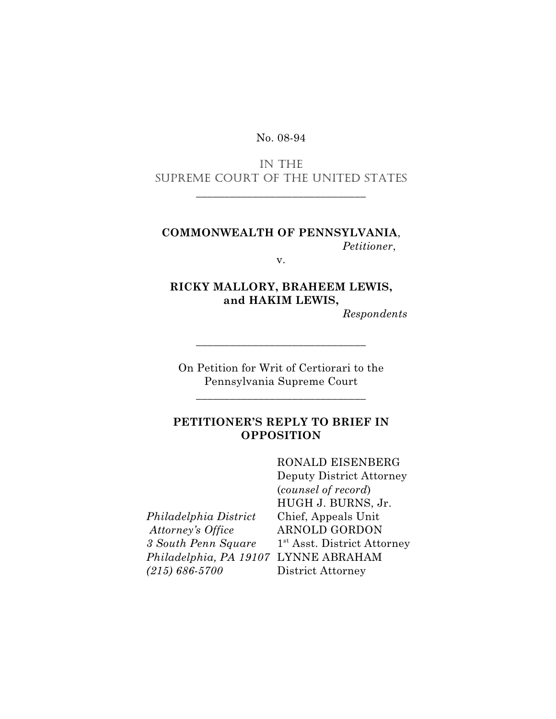#### No. 08-94

## IN THE SUPREME COURT OF THE UNITED STATES

\_\_\_\_\_\_\_\_\_\_\_\_\_\_\_\_\_\_\_\_\_\_\_\_\_\_\_\_\_\_

### **COMMONWEALTH OF PENNSYLVANIA**, *Petitioner*,

v.

# **RICKY MALLORY, BRAHEEM LEWIS, and HAKIM LEWIS,**

*Respondents*

On Petition for Writ of Certiorari to the Pennsylvania Supreme Court

\_\_\_\_\_\_\_\_\_\_\_\_\_\_\_\_\_\_\_\_\_\_\_\_\_\_\_\_\_\_

\_\_\_\_\_\_\_\_\_\_\_\_\_\_\_\_\_\_\_\_\_\_\_\_\_\_\_\_\_\_

## **PETITIONER'S REPLY TO BRIEF IN OPPOSITION**

*Philadelphia District* Chief, Appeals Unit  *Attorney's Office* ARNOLD GORDON *3 South Penn Square* 1<sup>st</sup> Asst. District Attorney *Philadelphia, PA 19107* LYNNE ABRAHAM *(215) 686-5700* District Attorney

RONALD EISENBERG Deputy District Attorney (*counsel of record*) HUGH J. BURNS, Jr.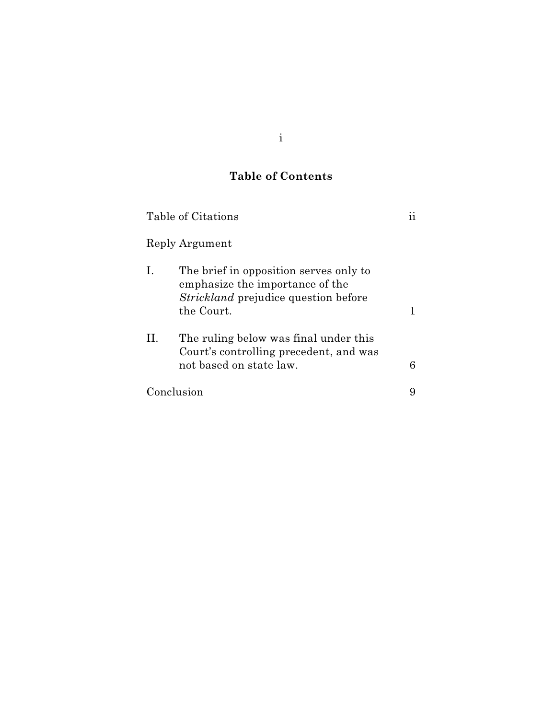## **Table of Contents**

|            | Table of Citations                                                                                                                     |   |
|------------|----------------------------------------------------------------------------------------------------------------------------------------|---|
|            | Reply Argument                                                                                                                         |   |
| 1.         | The brief in opposition serves only to<br>emphasize the importance of the<br><i>Strickland</i> prejudice question before<br>the Court. |   |
| П.         | The ruling below was final under this<br>Court's controlling precedent, and was<br>not based on state law.                             | 6 |
| Conclusion |                                                                                                                                        |   |

i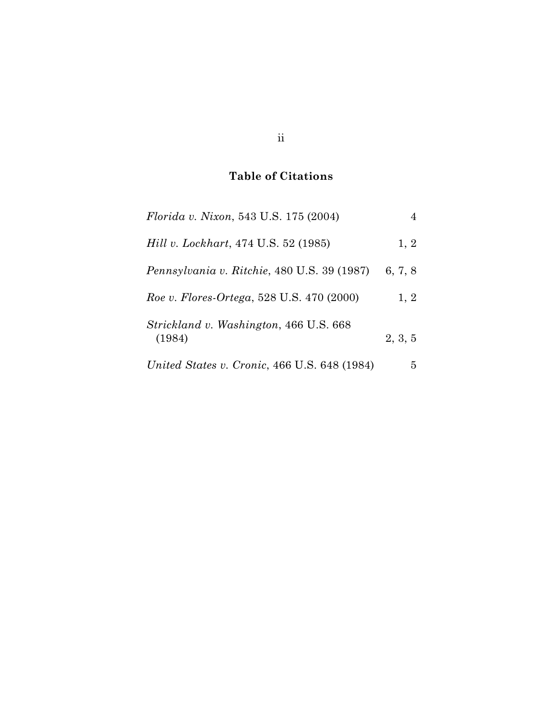## **Table of Citations**

| <i>Florida v. Nixon</i> , 543 U.S. 175 (2004)    | 4       |
|--------------------------------------------------|---------|
| <i>Hill v. Lockhart, 474 U.S. 52 (1985)</i>      | 1, 2    |
| Pennsylvania v. Ritchie, 480 U.S. 39 (1987)      | 6, 7, 8 |
| Roe v. Flores-Ortega, 528 U.S. 470 (2000)        | 1, 2    |
| Strickland v. Washington, 466 U.S. 668<br>(1984) | 2, 3, 5 |
| United States v. Cronic, 466 U.S. 648 (1984)     | 5       |

ii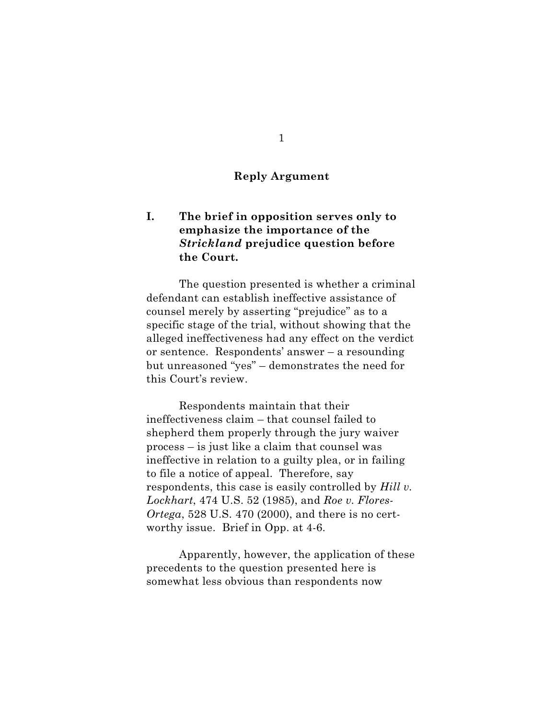### **Reply Argument**

## **I. The brief in opposition serves only to emphasize the importance of the** *Strickland* **prejudice question before the Court.**

The question presented is whether a criminal defendant can establish ineffective assistance of counsel merely by asserting "prejudice" as to a specific stage of the trial, without showing that the alleged ineffectiveness had any effect on the verdict or sentence. Respondents' answer – a resounding but unreasoned "yes" – demonstrates the need for this Court's review.

Respondents maintain that their ineffectiveness claim – that counsel failed to shepherd them properly through the jury waiver process – is just like a claim that counsel was ineffective in relation to a guilty plea, or in failing to file a notice of appeal. Therefore, say respondents, this case is easily controlled by *Hill v. Lockhart*, 474 U.S. 52 (1985), and *Roe v. Flores-Ortega*, 528 U.S. 470 (2000), and there is no certworthy issue. Brief in Opp. at 4-6.

Apparently, however, the application of these precedents to the question presented here is somewhat less obvious than respondents now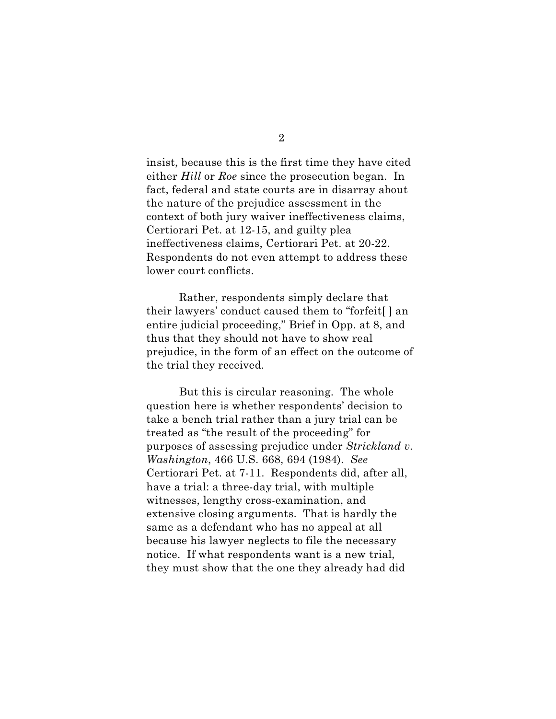insist, because this is the first time they have cited either *Hill* or *Roe* since the prosecution began. In fact, federal and state courts are in disarray about the nature of the prejudice assessment in the context of both jury waiver ineffectiveness claims, Certiorari Pet. at 12-15, and guilty plea ineffectiveness claims, Certiorari Pet. at 20-22. Respondents do not even attempt to address these lower court conflicts.

Rather, respondents simply declare that their lawyers' conduct caused them to "forfeit[ ] an entire judicial proceeding," Brief in Opp. at 8, and thus that they should not have to show real prejudice, in the form of an effect on the outcome of the trial they received.

But this is circular reasoning. The whole question here is whether respondents' decision to take a bench trial rather than a jury trial can be treated as "the result of the proceeding" for purposes of assessing prejudice under *Strickland v. Washington*, 466 U.S. 668, 694 (1984). *See* Certiorari Pet. at 7-11. Respondents did, after all, have a trial: a three-day trial, with multiple witnesses, lengthy cross-examination, and extensive closing arguments. That is hardly the same as a defendant who has no appeal at all because his lawyer neglects to file the necessary notice. If what respondents want is a new trial, they must show that the one they already had did

2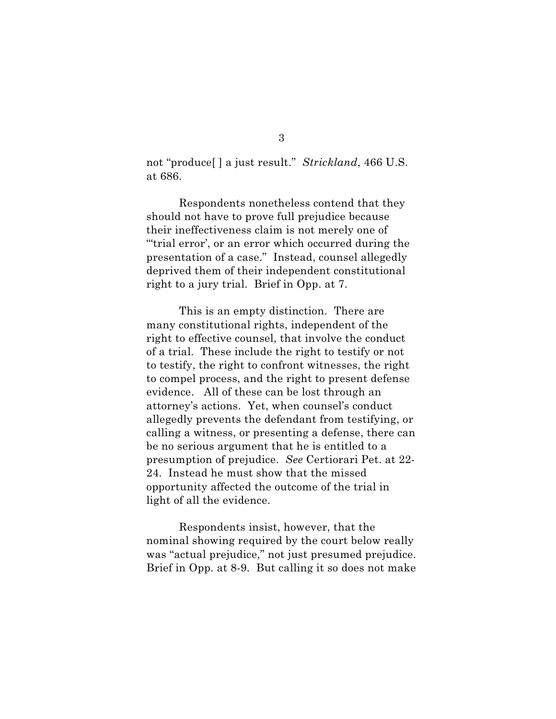not "produce[ ] a just result." *Strickland*, 466 U.S. at 686.

Respondents nonetheless contend that they should not have to prove full prejudice because their ineffectiveness claim is not merely one of "'trial error', or an error which occurred during the presentation of a case." Instead, counsel allegedly deprived them of their independent constitutional right to a jury trial. Brief in Opp. at 7.

This is an empty distinction. There are many constitutional rights, independent of the right to effective counsel, that involve the conduct of a trial. These include the right to testify or not to testify, the right to confront witnesses, the right to compel process, and the right to present defense evidence. All of these can be lost through an attorney's actions. Yet, when counsel's conduct allegedly prevents the defendant from testifying, or calling a witness, or presenting a defense, there can be no serious argument that he is entitled to a presumption of prejudice. *See* Certiorari Pet. at 22- 24. Instead he must show that the missed opportunity affected the outcome of the trial in light of all the evidence.

Respondents insist, however, that the nominal showing required by the court below really was "actual prejudice," not just presumed prejudice. Brief in Opp. at 8-9. But calling it so does not make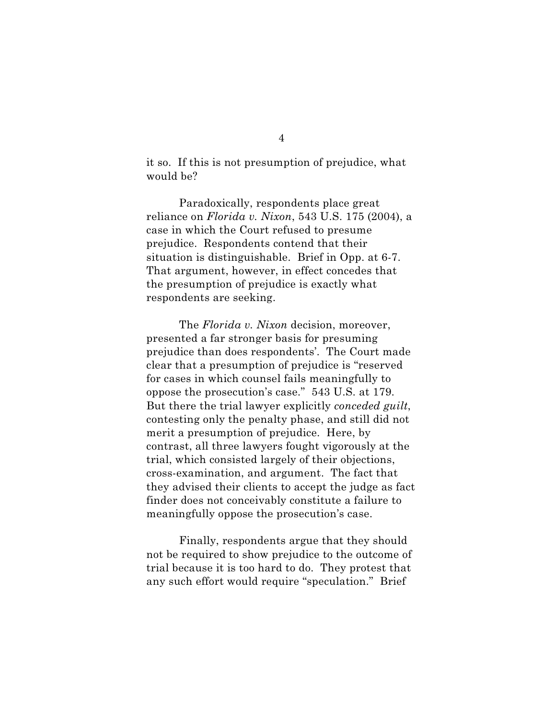it so. If this is not presumption of prejudice, what would be?

Paradoxically, respondents place great reliance on *Florida v. Nixon*, 543 U.S. 175 (2004), a case in which the Court refused to presume prejudice. Respondents contend that their situation is distinguishable. Brief in Opp. at 6-7. That argument, however, in effect concedes that the presumption of prejudice is exactly what respondents are seeking.

The *Florida v. Nixon* decision, moreover, presented a far stronger basis for presuming prejudice than does respondents'. The Court made clear that a presumption of prejudice is "reserved for cases in which counsel fails meaningfully to oppose the prosecution's case." 543 U.S. at 179. But there the trial lawyer explicitly *conceded guilt*, contesting only the penalty phase, and still did not merit a presumption of prejudice. Here, by contrast, all three lawyers fought vigorously at the trial, which consisted largely of their objections, cross-examination, and argument. The fact that they advised their clients to accept the judge as fact finder does not conceivably constitute a failure to meaningfully oppose the prosecution's case.

Finally, respondents argue that they should not be required to show prejudice to the outcome of trial because it is too hard to do. They protest that any such effort would require "speculation." Brief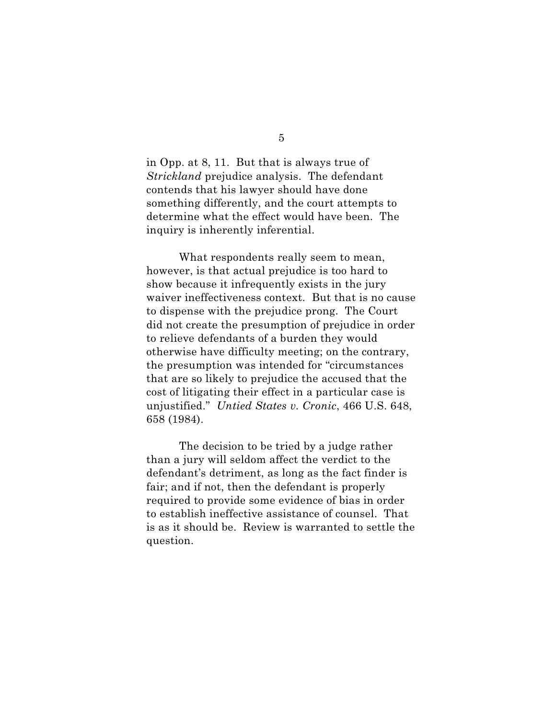in Opp. at 8, 11. But that is always true of *Strickland* prejudice analysis. The defendant contends that his lawyer should have done something differently, and the court attempts to determine what the effect would have been. The inquiry is inherently inferential.

What respondents really seem to mean, however, is that actual prejudice is too hard to show because it infrequently exists in the jury waiver ineffectiveness context. But that is no cause to dispense with the prejudice prong. The Court did not create the presumption of prejudice in order to relieve defendants of a burden they would otherwise have difficulty meeting; on the contrary, the presumption was intended for "circumstances that are so likely to prejudice the accused that the cost of litigating their effect in a particular case is unjustified." *Untied States v. Cronic*, 466 U.S. 648, 658 (1984).

The decision to be tried by a judge rather than a jury will seldom affect the verdict to the defendant's detriment, as long as the fact finder is fair; and if not, then the defendant is properly required to provide some evidence of bias in order to establish ineffective assistance of counsel. That is as it should be. Review is warranted to settle the question.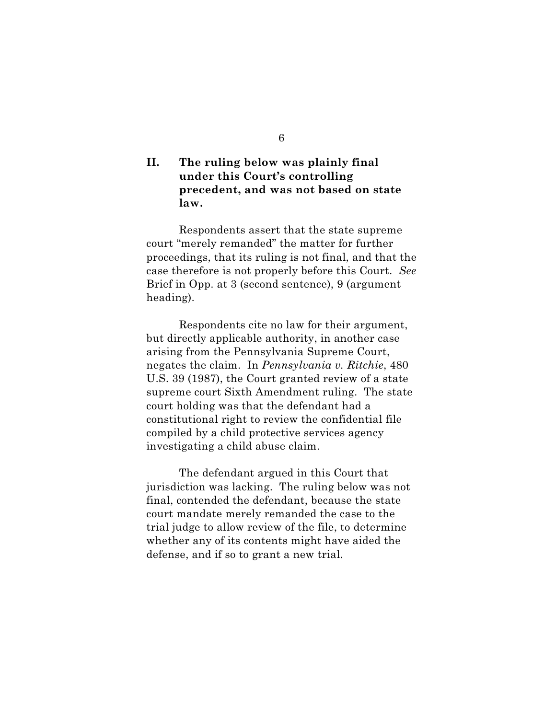## **II. The ruling below was plainly final under this Court's controlling precedent, and was not based on state law.**

Respondents assert that the state supreme court "merely remanded" the matter for further proceedings, that its ruling is not final, and that the case therefore is not properly before this Court. *See* Brief in Opp. at 3 (second sentence), 9 (argument heading).

Respondents cite no law for their argument, but directly applicable authority, in another case arising from the Pennsylvania Supreme Court, negates the claim. In *Pennsylvania v. Ritchie*, 480 U.S. 39 (1987), the Court granted review of a state supreme court Sixth Amendment ruling. The state court holding was that the defendant had a constitutional right to review the confidential file compiled by a child protective services agency investigating a child abuse claim.

The defendant argued in this Court that jurisdiction was lacking. The ruling below was not final, contended the defendant, because the state court mandate merely remanded the case to the trial judge to allow review of the file, to determine whether any of its contents might have aided the defense, and if so to grant a new trial.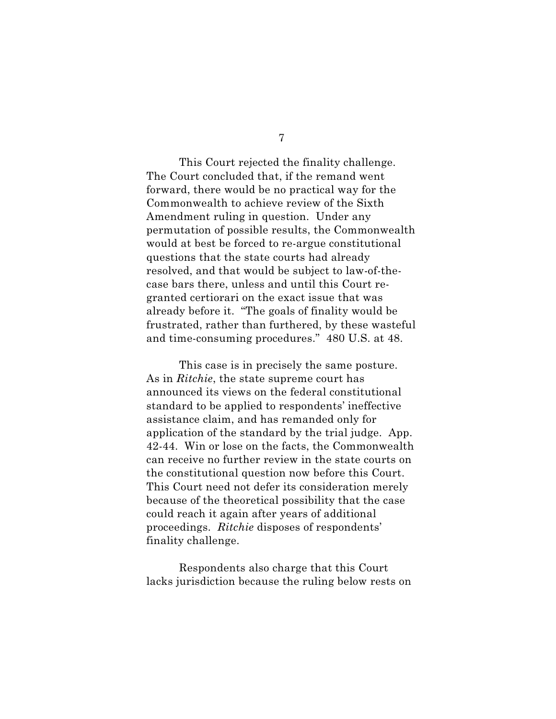This Court rejected the finality challenge. The Court concluded that, if the remand went forward, there would be no practical way for the Commonwealth to achieve review of the Sixth Amendment ruling in question. Under any permutation of possible results, the Commonwealth would at best be forced to re-argue constitutional questions that the state courts had already resolved, and that would be subject to law-of-thecase bars there, unless and until this Court regranted certiorari on the exact issue that was already before it. "The goals of finality would be frustrated, rather than furthered, by these wasteful and time-consuming procedures." 480 U.S. at 48.

This case is in precisely the same posture. As in *Ritchie*, the state supreme court has announced its views on the federal constitutional standard to be applied to respondents' ineffective assistance claim, and has remanded only for application of the standard by the trial judge. App. 42-44. Win or lose on the facts, the Commonwealth can receive no further review in the state courts on the constitutional question now before this Court. This Court need not defer its consideration merely because of the theoretical possibility that the case could reach it again after years of additional proceedings. *Ritchie* disposes of respondents' finality challenge.

Respondents also charge that this Court lacks jurisdiction because the ruling below rests on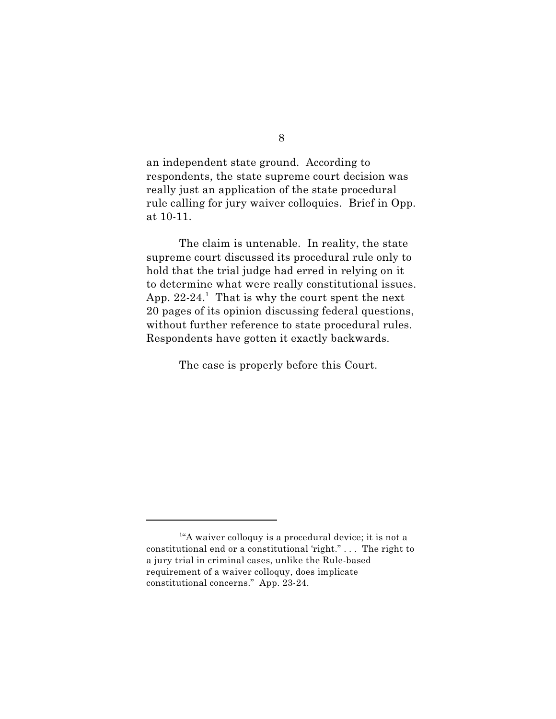an independent state ground. According to respondents, the state supreme court decision was really just an application of the state procedural rule calling for jury waiver colloquies. Brief in Opp. at 10-11.

The claim is untenable. In reality, the state supreme court discussed its procedural rule only to hold that the trial judge had erred in relying on it to determine what were really constitutional issues. App.  $22-24$ <sup>1</sup>. That is why the court spent the next 20 pages of its opinion discussing federal questions, without further reference to state procedural rules. Respondents have gotten it exactly backwards.

The case is properly before this Court.

 $14$ <sup>1</sup> A waiver colloquy is a procedural device; it is not a constitutional end or a constitutional 'right." . . . The right to a jury trial in criminal cases, unlike the Rule-based requirement of a waiver colloquy, does implicate constitutional concerns." App. 23-24.